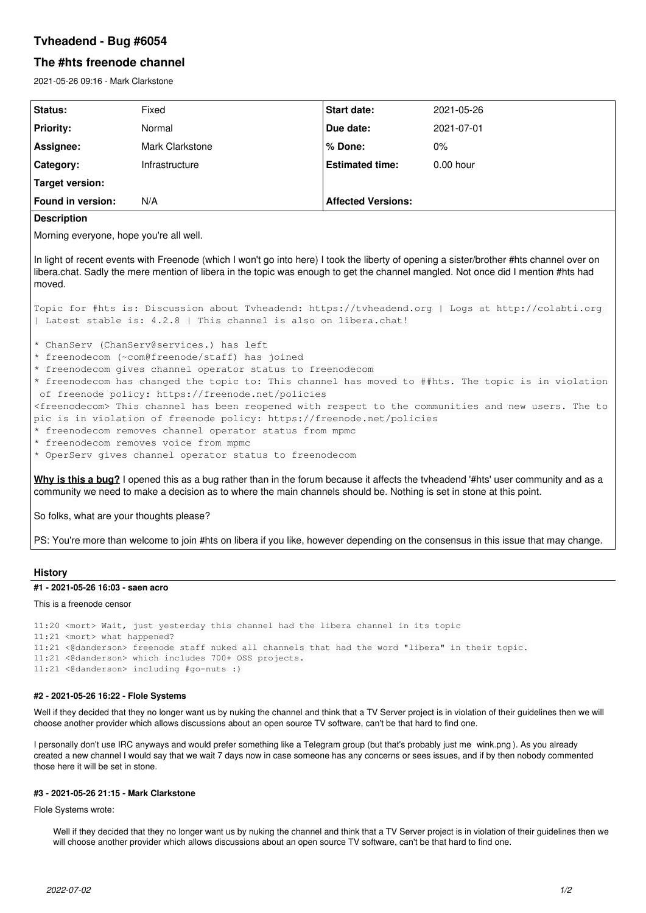# **Tvheadend - Bug #6054**

# **The #hts freenode channel**

2021-05-26 09:16 - Mark Clarkstone

| Status:                                  | Fixed           | <b>Start date:</b>        | 2021-05-26  |
|------------------------------------------|-----------------|---------------------------|-------------|
| <b>Priority:</b>                         | Normal          | Due date:                 | 2021-07-01  |
| Assignee:                                | Mark Clarkstone | % Done:                   | $0\%$       |
| Category:                                | Infrastructure  | <b>Estimated time:</b>    | $0.00$ hour |
| Target version:                          |                 |                           |             |
| Found in version:                        | N/A             | <b>Affected Versions:</b> |             |
| The contract of the contract of the con- |                 |                           |             |

# **Description**

Morning everyone, hope you're all well.

In light of recent events with Freenode (which I won't go into here) I took the liberty of opening a sister/brother #hts channel over on libera.chat. Sadly the mere mention of libera in the topic was enough to get the channel mangled. Not once did I mention #hts had moved.

Topic for #hts is: Discussion about Tvheadend: https://tvheadend.org | Logs at http://colabti.org | Latest stable is: 4.2.8 | This channel is also on libera.chat!

\* ChanServ (ChanServ@services.) has left

\* freenodecom (~com@freenode/staff) has joined

- \* freenodecom gives channel operator status to freenodecom
- \* freenodecom has changed the topic to: This channel has moved to ##hts. The topic is in violation of freenode policy: https://freenode.net/policies

<freenodecom> This channel has been reopened with respect to the communities and new users. The to pic is in violation of freenode policy: https://freenode.net/policies

- \* freenodecom removes channel operator status from mpmc
- \* freenodecom removes voice from mpmc
- \* OperServ gives channel operator status to freenodecom

**Why is this a bug?** I opened this as a bug rather than in the forum because it affects the tvheadend '#hts' user community and as a community we need to make a decision as to where the main channels should be. Nothing is set in stone at this point.

So folks, what are your thoughts please?

PS: You're more than welcome to join #hts on libera if you like, however depending on the consensus in this issue that may change.

## **History**

### **#1 - 2021-05-26 16:03 - saen acro**

This is a freenode censor

11:20 <mort> Wait, just yesterday this channel had the libera channel in its topic 11:21 <mort> what happened? 11:21 <@danderson> freenode staff nuked all channels that had the word "libera" in their topic. 11:21 <@danderson> which includes 700+ OSS projects. 11:21 <@danderson> including #go-nuts :)

#### **#2 - 2021-05-26 16:22 - Flole Systems**

Well if they decided that they no longer want us by nuking the channel and think that a TV Server project is in violation of their quidelines then we will choose another provider which allows discussions about an open source TV software, can't be that hard to find one.

I personally don't use IRC anyways and would prefer something like a Telegram group (but that's probably just me wink.png ). As you already created a new channel I would say that we wait 7 days now in case someone has any concerns or sees issues, and if by then nobody commented those here it will be set in stone.

### **#3 - 2021-05-26 21:15 - Mark Clarkstone**

Flole Systems wrote:

Well if they decided that they no longer want us by nuking the channel and think that a TV Server project is in violation of their guidelines then we will choose another provider which allows discussions about an open source TV software, can't be that hard to find one.